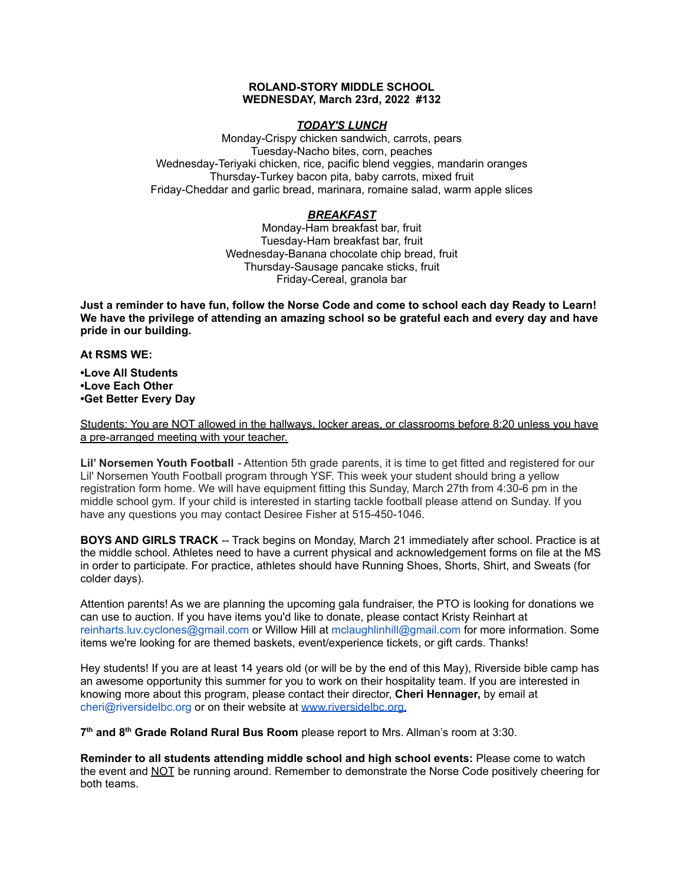### **ROLAND-STORY MIDDLE SCHOOL WEDNESDAY, March 23rd, 2022 #132**

# *TODAY'S LUNCH*

Monday-Crispy chicken sandwich, carrots, pears Tuesday-Nacho bites, corn, peaches Wednesday-Teriyaki chicken, rice, pacific blend veggies, mandarin oranges Thursday-Turkey bacon pita, baby carrots, mixed fruit Friday-Cheddar and garlic bread, marinara, romaine salad, warm apple slices

# *BREAKFAST*

Monday-Ham breakfast bar, fruit Tuesday-Ham breakfast bar, fruit Wednesday-Banana chocolate chip bread, fruit Thursday-Sausage pancake sticks, fruit Friday-Cereal, granola bar

Just a reminder to have fun, follow the Norse Code and come to school each day Ready to Learn! **We have the privilege of attending an amazing school so be grateful each and every day and have pride in our building.**

**At RSMS WE:**

**•Love All Students •Love Each Other •Get Better Every Day**

Students: You are NOT allowed in the hallways, locker areas, or classrooms before 8:20 unless you have a pre-arranged meeting with your teacher.

**Lil' Norsemen Youth Football** - Attention 5th grade parents, it is time to get fitted and registered for our Lil' Norsemen Youth Football program through YSF. This week your student should bring a yellow registration form home. We will have equipment fitting this Sunday, March 27th from 4:30-6 pm in the middle school gym. If your child is interested in starting tackle football please attend on Sunday. If you have any questions you may contact Desiree Fisher at 515-450-1046.

**BOYS AND GIRLS TRACK** -- Track begins on Monday, March 21 immediately after school. Practice is at the middle school. Athletes need to have a current physical and acknowledgement forms on file at the MS in order to participate. For practice, athletes should have Running Shoes, Shorts, Shirt, and Sweats (for colder days).

Attention parents! As we are planning the upcoming gala fundraiser, the PTO is looking for donations we can use to auction. If you have items you'd like to donate, please contact Kristy Reinhart at reinharts.luv.cyclones@gmail.com or Willow Hill at mclaughlinhill@gmail.com for more information. Some items we're looking for are themed baskets, event/experience tickets, or gift cards. Thanks!

Hey students! If you are at least 14 years old (or will be by the end of this May), Riverside bible camp has an awesome opportunity this summer for you to work on their hospitality team. If you are interested in knowing more about this program, please contact their director, **Cheri Hennager,** by email at cheri@riversidelbc.org or on their website at [www.riversidelbc.org.](http://www.riversidelbc.org/)

**7 th and 8 th Grade Roland Rural Bus Room** please report to Mrs. Allman's room at 3:30.

**Reminder to all students attending middle school and high school events:** Please come to watch the event and NOT be running around. Remember to demonstrate the Norse Code positively cheering for both teams.